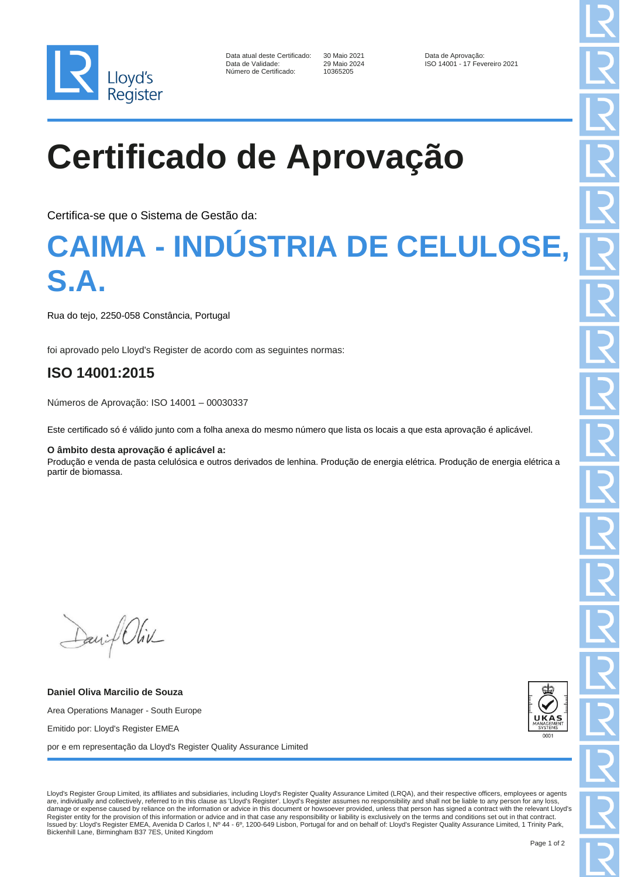

| Data atual deste Certificado: |
|-------------------------------|
| Data de Validade:             |
| Número de Certificado:        |

10365205

30 Maio 2021 Data de Aprovação:<br>29 Maio 2024 **Data de Aprovação:** ISO 14001 - 17 Fev ISO 14001 - 17 Fevereiro 2021

# **Certificado de Aprovação**

Certifica-se que o Sistema de Gestão da:

### **CAIMA - INDÚSTRIA DE CELULOSE, S.A.**

Rua do tejo, 2250-058 Constância, Portugal

foi aprovado pelo Lloyd's Register de acordo com as seguintes normas:

### **ISO 14001:2015**

Números de Aprovação: ISO 14001 – 00030337

Este certificado só é válido junto com a folha anexa do mesmo número que lista os locais a que esta aprovação é aplicável.

#### **O âmbito desta aprovação é aplicável a:**

Produção e venda de pasta celulósica e outros derivados de lenhina. Produção de energia elétrica. Produção de energia elétrica a partir de biomassa.

David Oliv

**Daniel Oliva Marcilio de Souza** Area Operations Manager - South Europe Emitido por: Lloyd's Register EMEA por e em representação da Lloyd's Register Quality Assurance Limited



Lloyd's Register Group Limited, its affiliates and subsidiaries, including Lloyd's Register Quality Assurance Limited (LRQA), and their respective officers, employees or agents are, individually and collectively, referred to in this clause as 'Lloyd's Register'. Lloyd's Register assumes no responsibility and shall not be liable to any person for any loss, damage or expense caused by reliance on the information or advice in this document or howsoever provided, unless that person has signed a contract with the relevant Lloyd's Register entity for the provision of this information or advice and in that case any responsibility or liability is exclusively on the terms and conditions set out in that contract.<br>Issued by: Lloyd's Register EMEA, Aveni Bickenhill Lane, Birmingham B37 7ES, United Kingdom